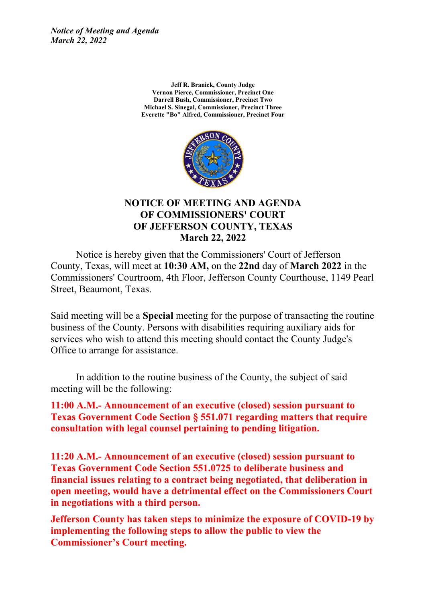*Notice of Meeting and Agenda March 22, 2022*

> **Jeff R. Branick, County Judge Vernon Pierce, Commissioner, Precinct One Darrell Bush, Commissioner, Precinct Two Michael S. Sinegal, Commissioner, Precinct Three Everette "Bo" Alfred, Commissioner, Precinct Four**



### **NOTICE OF MEETING AND AGENDA OF COMMISSIONERS' COURT OF JEFFERSON COUNTY, TEXAS March 22, 2022**

Notice is hereby given that the Commissioners' Court of Jefferson County, Texas, will meet at **10:30 AM,** on the **22nd** day of **March 2022** in the Commissioners' Courtroom, 4th Floor, Jefferson County Courthouse, 1149 Pearl Street, Beaumont, Texas.

Said meeting will be a **Special** meeting for the purpose of transacting the routine business of the County. Persons with disabilities requiring auxiliary aids for services who wish to attend this meeting should contact the County Judge's Office to arrange for assistance.

In addition to the routine business of the County, the subject of said meeting will be the following:

**11:00 A.M.- Announcement of an executive (closed) session pursuant to Texas Government Code Section § 551.071 regarding matters that require consultation with legal counsel pertaining to pending litigation.**

**11:20 A.M.- Announcement of an executive (closed) session pursuant to Texas Government Code Section 551.0725 to deliberate business and financial issues relating to a contract being negotiated, that deliberation in open meeting, would have a detrimental effect on the Commissioners Court in negotiations with a third person.**

**Jefferson County has taken steps to minimize the exposure of COVID-19 by implementing the following steps to allow the public to view the Commissioner's Court meeting.**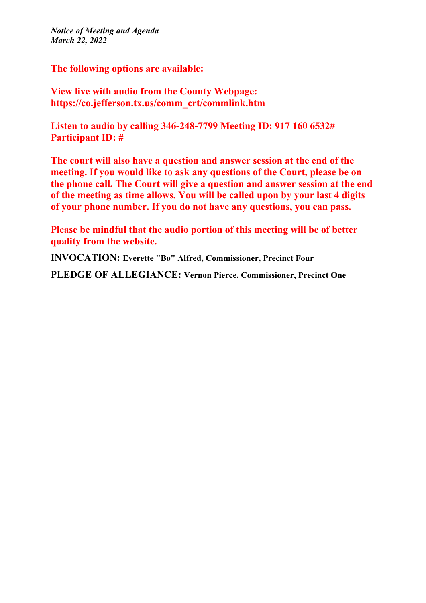*Notice of Meeting and Agenda March 22, 2022*

**The following options are available:**

**View live with audio from the County Webpage: https://co.jefferson.tx.us/comm\_crt/commlink.htm**

**Listen to audio by calling 346-248-7799 Meeting ID: 917 160 6532# Participant ID: #**

**The court will also have a question and answer session at the end of the meeting. If you would like to ask any questions of the Court, please be on the phone call. The Court will give a question and answer session at the end of the meeting as time allows. You will be called upon by your last 4 digits of your phone number. If you do not have any questions, you can pass.**

**Please be mindful that the audio portion of this meeting will be of better quality from the website.**

**INVOCATION: Everette "Bo" Alfred, Commissioner, Precinct Four**

**PLEDGE OF ALLEGIANCE: Vernon Pierce, Commissioner, Precinct One**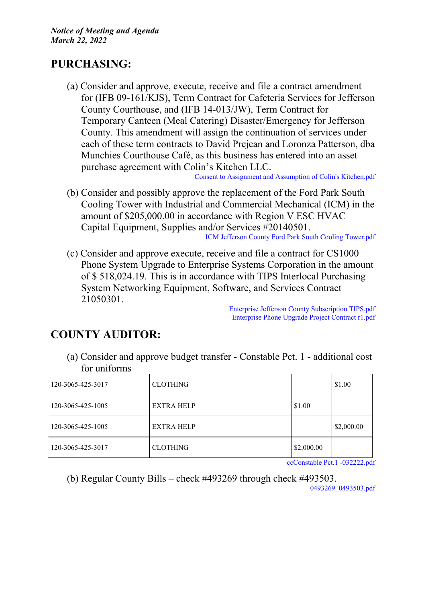## **PURCHASING:**

(a) Consider and approve, execute, receive and file a contract amendment for (IFB 09-161/KJS), Term Contract for Cafeteria Services for Jefferson County Courthouse, and (IFB 14-013/JW), Term Contract for Temporary Canteen (Meal Catering) Disaster/Emergency for Jefferson County. This amendment will assign the continuation of services under each of these term contracts to David Prejean and Loronza Patterson, dba Munchies Courthouse Café, as this business has entered into an asset purchase agreement with Colin's Kitchen LLC.

Consent to Assignment and [Assumption](http://co.jefferson.tx.us/agenda/agendas_pl/20220322_684/Attachments/Consent%20to%20Assignment%20and%20Assumption%20of%20Colin%27s%20Kitchen.pdf) of Colin's Kitchen.pdf

- (b) Consider and possibly approve the replacement of the Ford Park South Cooling Tower with Industrial and Commercial Mechanical (ICM) in the amount of \$205,000.00 in accordance with Region V ESC HVAC Capital Equipment, Supplies and/or Services #20140501. ICM Jefferson County Ford Park South Cooling [Tower.pdf](http://co.jefferson.tx.us/agenda/agendas_pl/20220322_684/Attachments/ICM%20Jefferson%20County%20Ford%20Park%20South%20Cooling%20Tower.pdf)
- (c) Consider and approve execute, receive and file a contract for CS1000 Phone System Upgrade to Enterprise Systems Corporation in the amount of \$ 518,024.19. This is in accordance with TIPS Interlocal Purchasing System Networking Equipment, Software, and Services Contract 21050301.

Enterprise Jefferson County [Subscription](http://co.jefferson.tx.us/agenda/agendas_pl/20220322_684/Attachments/Enterprise%20Jefferson%20County%20Subscription%20TIPS.pdf) TIPS.pdf [Enterprise](http://co.jefferson.tx.us/agenda/agendas_pl/20220322_684/Attachments/Enterprise%20Phone%20Upgrade%20Project%20Contract%20r1.pdf) Phone Upgrade Project Contract r1.pdf

# **COUNTY AUDITOR:**

(a) Consider and approve budget transfer - Constable Pct. 1 - additional cost for uniforms

| 120-3065-425-3017 | <b>CLOTHING</b> |            | \$1.00     |
|-------------------|-----------------|------------|------------|
| 120-3065-425-1005 | EXTRA HELP      | \$1.00     |            |
| 120-3065-425-1005 | EXTRA HELP      |            | \$2,000.00 |
| 120-3065-425-3017 | <b>CLOTHING</b> | \$2,000.00 |            |

[ccConstable](http://co.jefferson.tx.us/agenda/agendas_pl/20220322_684/Attachments/ccConstable%20Pct.1%20-032222.pdf) Pct.1 -032222.pdf

(b) Regular County Bills – check #493269 through check #493503. [0493269\\_0493503.pdf](http://co.jefferson.tx.us/agenda/agendas_pl/20220322_684/Attachments/0493269_0493503.pdf)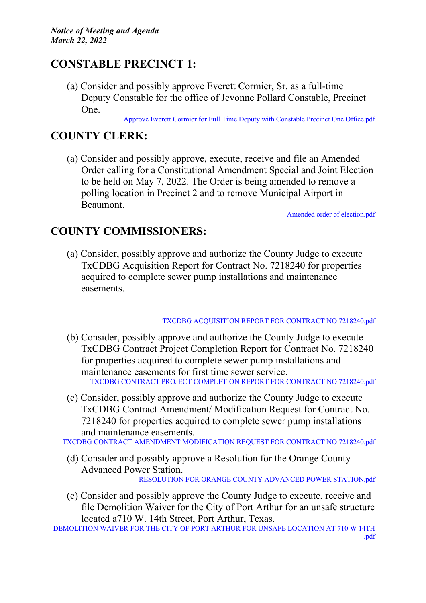## **CONSTABLE PRECINCT 1:**

(a) Consider and possibly approve Everett Cormier, Sr. as a full-time Deputy Constable for the office of Jevonne Pollard Constable, Precinct One.

Approve Everett Cormier for Full Time Deputy with Constable Precinct One [Office.pdf](http://co.jefferson.tx.us/agenda/agendas_pl/20220322_684/Attachments/Approve%20Everett%20Cormier%20for%20Full%20Time%20Deputy%20with%20Constable%20Precinct%20%20One%20Office.pdf)

## **COUNTY CLERK:**

(a) Consider and possibly approve, execute, receive and file an Amended Order calling for a Constitutional Amendment Special and Joint Election to be held on May 7, 2022. The Order is being amended to remove a polling location in Precinct 2 and to remove Municipal Airport in Beaumont.

Amended order of [election.pdf](http://co.jefferson.tx.us/agenda/agendas_pl/20220322_684/Attachments/Amended%20order%20of%20election.pdf)

### **COUNTY COMMISSIONERS:**

(a) Consider, possibly approve and authorize the County Judge to execute TxCDBG Acquisition Report for Contract No. 7218240 for properties acquired to complete sewer pump installations and maintenance easements.

#### TXCDBG [ACQUISITION](http://co.jefferson.tx.us/agenda/agendas_pl/20220322_684/Attachments/TXCDBG%20ACQUISITION%20REPORT%20FOR%20CONTRACT%20NO%207218240.pdf) REPORT FOR CONTRACT NO 7218240.pdf

- (b) Consider, possibly approve and authorize the County Judge to execute TxCDBG Contract Project Completion Report for Contract No. 7218240 for properties acquired to complete sewer pump installations and maintenance easements for first time sewer service. TXCDBG CONTRACT PROJECT [COMPLETION](http://co.jefferson.tx.us/agenda/agendas_pl/20220322_684/Attachments/TXCDBG%20CONTRACT%20PROJECT%20COMPLETION%20REPORT%20FOR%20CONTRACT%20NO%207218240.pdf) REPORT FOR CONTRACT NO 7218240.pdf
- (c) Consider, possibly approve and authorize the County Judge to execute TxCDBG Contract Amendment/ Modification Request for Contract No. 7218240 for properties acquired to complete sewer pump installations and maintenance easements.

TXCDBG CONTRACT AMENDMENT [MODIFICATION](http://co.jefferson.tx.us/agenda/agendas_pl/20220322_684/Attachments/TXCDBG%20CONTRACT%20AMENDMENT%20MODIFICATION%20REQUEST%20FOR%20CONTRACT%20NO%207218240.pdf) REQUEST FOR CONTRACT NO 7218240.pdf

- (d) Consider and possibly approve a Resolution for the Orange County Advanced Power Station. [RESOLUTION](http://co.jefferson.tx.us/agenda/agendas_pl/20220322_684/Attachments/RESOLUTION%20FOR%20ORANGE%20COUNTY%20ADVANCED%20POWER%20STATION.pdf) FOR ORANGE COUNTY ADVANCED POWER STATION.pdf
- (e) Consider and possibly approve the County Judge to execute, receive and file Demolition Waiver for the City of Port Arthur for an unsafe structure located a710 W. 14th Street, Port Arthur, Texas.

[DEMOLITION](http://co.jefferson.tx.us/agenda/agendas_pl/20220322_684/Attachments/DEMOLITION%20WAIVER%20FOR%20THE%20CITY%20OF%20PORT%20ARTHUR%20FOR%20UNSAFE%20LOCATION%20AT%20710%20W%2014TH%20.pdf) WAIVER FOR THE CITY OF PORT ARTHUR FOR UNSAFE LOCATION AT 710 W 14TH [.pdf](http://co.jefferson.tx.us/agenda/agendas_pl/20220322_684/Attachments/DEMOLITION%20WAIVER%20FOR%20THE%20CITY%20OF%20PORT%20ARTHUR%20FOR%20UNSAFE%20LOCATION%20AT%20710%20W%2014TH%20.pdf)